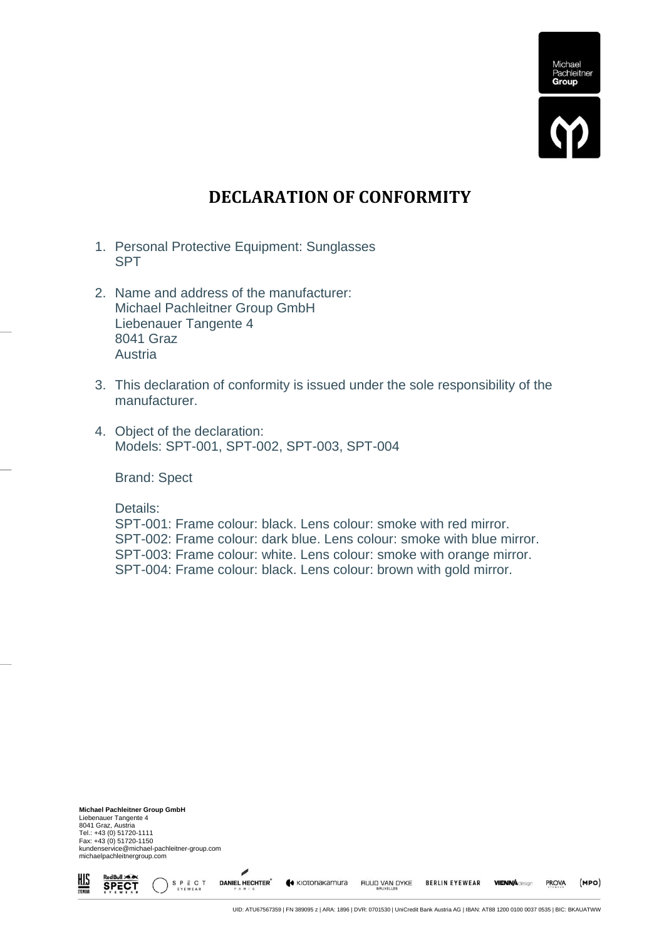

## **DECLARATION OF CONFORMITY**

- 1. Personal Protective Equipment: Sunglasses SPT
- 2. Name and address of the manufacturer: Michael Pachleitner Group GmbH Liebenauer Tangente 4 8041 Graz Austria
- 3. This declaration of conformity is issued under the sole responsibility of the manufacturer.
- 4. Object of the declaration: Models: SPT-001, SPT-002, SPT-003, SPT-004

Brand: Spect

Details:

SPT-001: Frame colour: black. Lens colour: smoke with red mirror. SPT-002: Frame colour: dark blue. Lens colour: smoke with blue mirror. SPT-003: Frame colour: white. Lens colour: smoke with orange mirror. SPT-004: Frame colour: black. Lens colour: brown with gold mirror.

**Michael Pachleitner Group GmbH** Liebenauer Tangente 4 8041 Graz, Austria Tel.: +43 (0) 51720-1111 Fax: +43 (0) 51720-1150 kundenservice@michael-pachleitner-group.com michaelpachleitnergroup.com

S P E C T

**DANIEL HECHTER** 

« KIOTONAKAMUra

<u>his</u>

**SPECT** 

**BERLIN EYEWEAR** 

**VIENNA** design

**PROVA** 

 $(MPO)$ 

RUUD VAN DYKE